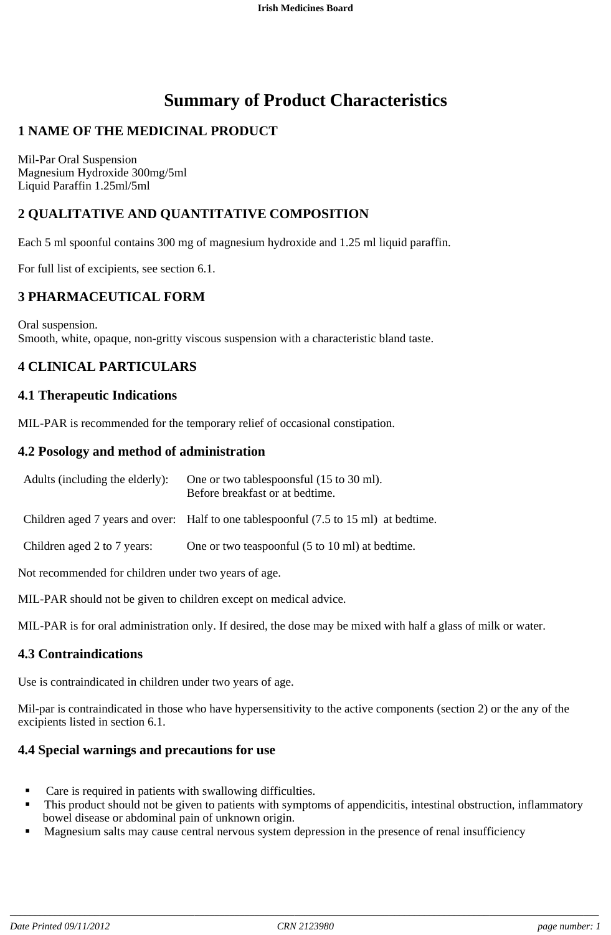# **Summary of Product Characteristics**

# **1 NAME OF THE MEDICINAL PRODUCT**

Mil-Par Oral Suspension Magnesium Hydroxide 300mg/5ml Liquid Paraffin 1.25ml/5ml

# **2 QUALITATIVE AND QUANTITATIVE COMPOSITION**

Each 5 ml spoonful contains 300 mg of magnesium hydroxide and 1.25 ml liquid paraffin.

For full list of excipients, see section 6.1.

### **3 PHARMACEUTICAL FORM**

Oral suspension. Smooth, white, opaque, non-gritty viscous suspension with a characteristic bland taste.

# **4 CLINICAL PARTICULARS**

# **4.1 Therapeutic Indications**

MIL-PAR is recommended for the temporary relief of occasional constipation.

# **4.2 Posology and method of administration**

| Adults (including the elderly):                      | One or two tables poonsful (15 to 30 ml).<br>Before breakfast or at bedtime.         |
|------------------------------------------------------|--------------------------------------------------------------------------------------|
|                                                      | Children aged 7 years and over: Half to one tablespoonful (7.5 to 15 ml) at bedtime. |
| Children aged 2 to 7 years:                          | One or two teaspoonful (5 to 10 ml) at bedtime.                                      |
| Not recommended for children under two years of age. |                                                                                      |

MIL-PAR should not be given to children except on medical advice.

MIL-PAR is for oral administration only. If desired, the dose may be mixed with half a glass of milk or water.

### **4.3 Contraindications**

Use is contraindicated in children under two years of age.

Mil-par is contraindicated in those who have hypersensitivity to the active components (section 2) or the any of the excipients listed in section 6.1.

# **4.4 Special warnings and precautions for use**

- Care is required in patients with swallowing difficulties.
- This product should not be given to patients with symptoms of appendicitis, intestinal obstruction, inflammatory bowel disease or abdominal pain of unknown origin.
- **Magnesium salts may cause central nervous system depression in the presence of renal insufficiency**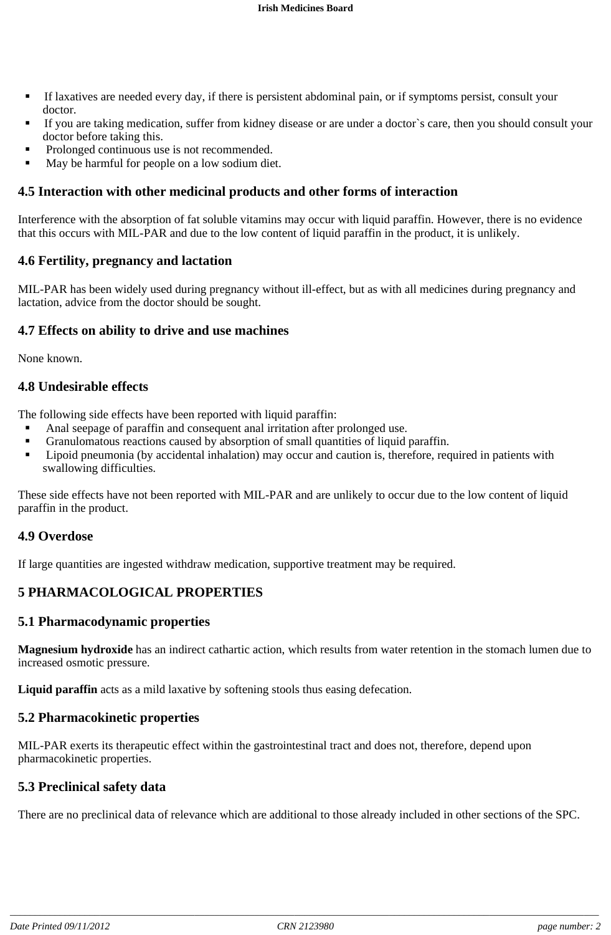- If laxatives are needed every day, if there is persistent abdominal pain, or if symptoms persist, consult your doctor.
- If you are taking medication, suffer from kidney disease or are under a doctor`s care, then you should consult your doctor before taking this.
- Prolonged continuous use is not recommended.
- May be harmful for people on a low sodium diet.

### **4.5 Interaction with other medicinal products and other forms of interaction**

Interference with the absorption of fat soluble vitamins may occur with liquid paraffin. However, there is no evidence that this occurs with MIL-PAR and due to the low content of liquid paraffin in the product, it is unlikely.

### **4.6 Fertility, pregnancy and lactation**

MIL-PAR has been widely used during pregnancy without ill-effect, but as with all medicines during pregnancy and lactation, advice from the doctor should be sought.

#### **4.7 Effects on ability to drive and use machines**

None known.

#### **4.8 Undesirable effects**

The following side effects have been reported with liquid paraffin:

- Anal seepage of paraffin and consequent anal irritation after prolonged use.
- Granulomatous reactions caused by absorption of small quantities of liquid paraffin.
- **Example 1** Lipoid pneumonia (by accidental inhalation) may occur and caution is, therefore, required in patients with swallowing difficulties.

These side effects have not been reported with MIL-PAR and are unlikely to occur due to the low content of liquid paraffin in the product.

### **4.9 Overdose**

If large quantities are ingested withdraw medication, supportive treatment may be required.

# **5 PHARMACOLOGICAL PROPERTIES**

#### **5.1 Pharmacodynamic properties**

**Magnesium hydroxide** has an indirect cathartic action, which results from water retention in the stomach lumen due to increased osmotic pressure.

**Liquid paraffin** acts as a mild laxative by softening stools thus easing defecation.

#### **5.2 Pharmacokinetic properties**

MIL-PAR exerts its therapeutic effect within the gastrointestinal tract and does not, therefore, depend upon pharmacokinetic properties.

### **5.3 Preclinical safety data**

There are no preclinical data of relevance which are additional to those already included in other sections of the SPC.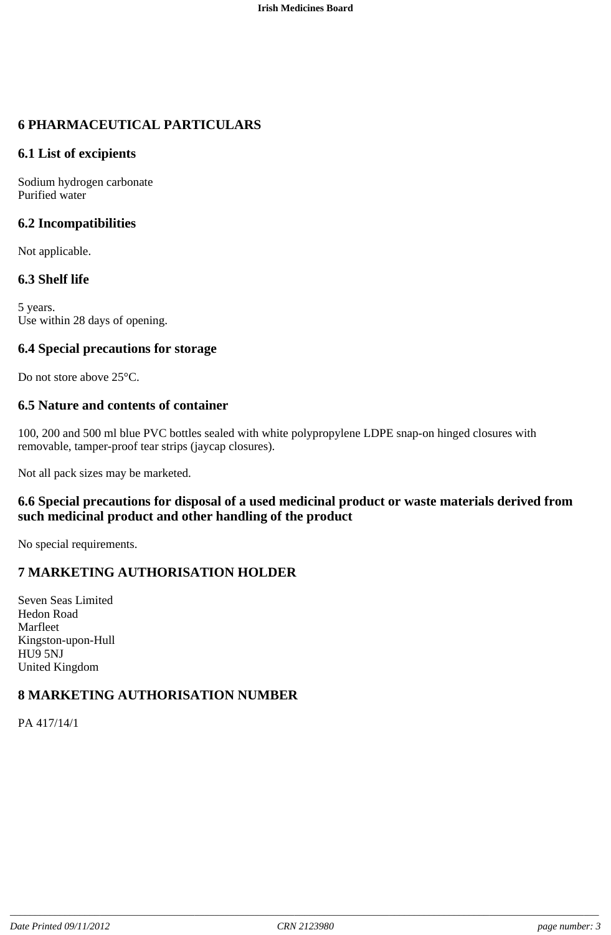# **6 PHARMACEUTICAL PARTICULARS**

### **6.1 List of excipients**

Sodium hydrogen carbonate Purified water

# **6.2 Incompatibilities**

Not applicable.

# **6.3 Shelf life**

5 years. Use within 28 days of opening.

### **6.4 Special precautions for storage**

Do not store above 25<sup>o</sup>C.

# **6.5 Nature and contents of container**

100, 200 and 500 ml blue PVC bottles sealed with white polypropylene LDPE snap-on hinged closures with removable, tamper-proof tear strips (jaycap closures).

Not all pack sizes may be marketed.

# **6.6 Special precautions for disposal of a used medicinal product or waste materials derived from such medicinal product and other handling of the product**

No special requirements.

# **7 MARKETING AUTHORISATION HOLDER**

Seven Seas Limited Hedon Road Marfleet Kingston-upon-Hull HU9 5NJ United Kingdom

# **8 MARKETING AUTHORISATION NUMBER**

PA 417/14/1